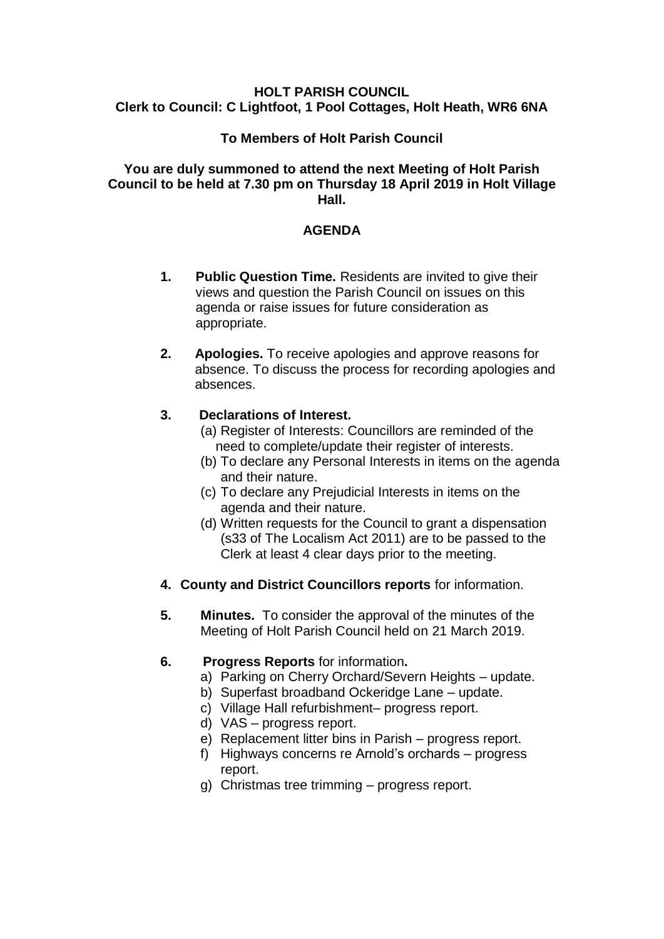#### **HOLT PARISH COUNCIL Clerk to Council: C Lightfoot, 1 Pool Cottages, Holt Heath, WR6 6NA**

# **To Members of Holt Parish Council**

#### **You are duly summoned to attend the next Meeting of Holt Parish Council to be held at 7.30 pm on Thursday 18 April 2019 in Holt Village Hall.**

### **AGENDA**

- **1. Public Question Time.** Residents are invited to give their views and question the Parish Council on issues on this agenda or raise issues for future consideration as appropriate.
- **2. Apologies.** To receive apologies and approve reasons for absence. To discuss the process for recording apologies and absences.

# **3. Declarations of Interest.**

- (a) Register of Interests: Councillors are reminded of the need to complete/update their register of interests.
- (b) To declare any Personal Interests in items on the agenda and their nature.
- (c) To declare any Prejudicial Interests in items on the agenda and their nature.
- (d) Written requests for the Council to grant a dispensation (s33 of The Localism Act 2011) are to be passed to the Clerk at least 4 clear days prior to the meeting.
- **4. County and District Councillors reports** for information.
- **5. Minutes.** To consider the approval of the minutes of the Meeting of Holt Parish Council held on 21 March 2019.
- **6. Progress Reports** for information**.**
	- a) Parking on Cherry Orchard/Severn Heights update.
	- b) Superfast broadband Ockeridge Lane update.
	- c) Village Hall refurbishment– progress report.
	- d) VAS progress report.
	- e) Replacement litter bins in Parish progress report.
	- f) Highways concerns re Arnold's orchards progress report.
	- g) Christmas tree trimming progress report.